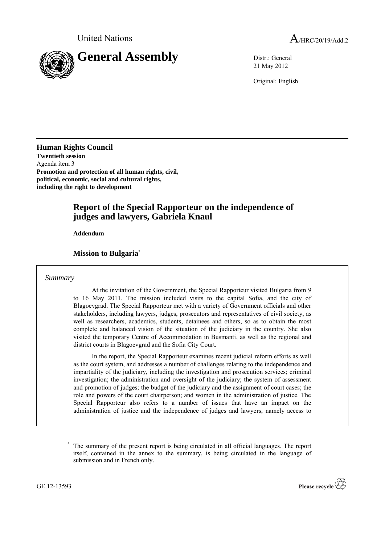

21 May 2012

Original: English

**Human Rights Council Twentieth session** Agenda item 3 **Promotion and protection of all human rights, civil, political, economic, social and cultural rights, including the right to development**

# **Report of the Special Rapporteur on the independence of judges and lawyers, Gabriela Knaul**

**Addendum**

#### **Mission to Bulgaria**\*

#### *Summary*

At the invitation of the Government, the Special Rapporteur visited Bulgaria from 9 to 16 May 2011. The mission included visits to the capital Sofia, and the city of Blagoevgrad. The Special Rapporteur met with a variety of Government officials and other stakeholders, including lawyers, judges, prosecutors and representatives of civil society, as well as researchers, academics, students, detainees and others, so as to obtain the most complete and balanced vision of the situation of the judiciary in the country. She also visited the temporary Centre of Accommodation in Busmanti, as well as the regional and district courts in Blagoevgrad and the Sofia City Court.

In the report, the Special Rapporteur examines recent judicial reform efforts as well as the court system, and addresses a number of challenges relating to the independence and impartiality of the judiciary, including the investigation and prosecution services; criminal investigation; the administration and oversight of the judiciary; the system of assessment and promotion of judges; the budget of the judiciary and the assignment of court cases; the role and powers of the court chairperson; and women in the administration of justice. The Special Rapporteur also refers to a number of issues that have an impact on the administration of justice and the independence of judges and lawyers, namely access to



The summary of the present report is being circulated in all official languages. The report itself, contained in the annex to the summary, is being circulated in the language of submission and in French only.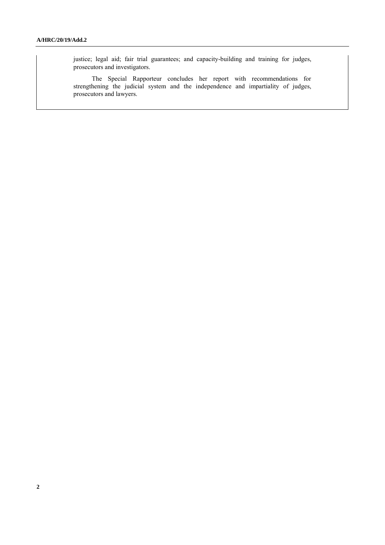justice; legal aid; fair trial guarantees; and capacity-building and training for judges, prosecutors and investigators.

The Special Rapporteur concludes her report with recommendations for strengthening the judicial system and the independence and impartiality of judges, prosecutors and lawyers.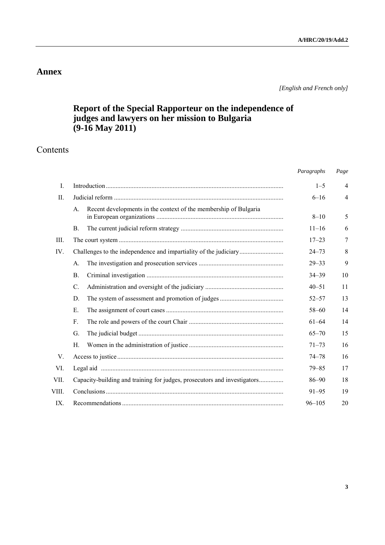## **Annex**

*[English and French only]*

# **Report of the Special Rapporteur on the independence of judges and lawyers on her mission to Bulgaria (9-16 May 2011)**

# Contents

|                |                                                                          | Paragraphs | Page           |
|----------------|--------------------------------------------------------------------------|------------|----------------|
| $\mathbf{I}$ . |                                                                          | $1 - 5$    | $\overline{4}$ |
| Π.             |                                                                          | $6 - 16$   | $\overline{4}$ |
|                | Recent developments in the context of the membership of Bulgaria<br>А.   | $8 - 10$   | 5              |
|                | <b>B.</b>                                                                | $11 - 16$  | 6              |
| III.           |                                                                          | $17 - 23$  | 7              |
| IV.            |                                                                          | $24 - 73$  | 8              |
|                | A.                                                                       | $29 - 33$  | 9              |
|                | Β.                                                                       | $34 - 39$  | 10             |
|                | C.                                                                       | $40 - 51$  | 11             |
|                | D.                                                                       | $52 - 57$  | 13             |
|                | Е.                                                                       | $58 - 60$  | 14             |
|                | $F_{\cdot}$                                                              | $61 - 64$  | 14             |
|                | G.                                                                       | $65 - 70$  | 15             |
|                | Н.                                                                       | $71 - 73$  | 16             |
| V.             |                                                                          | $74 - 78$  | 16             |
| VI.            |                                                                          | $79 - 85$  | 17             |
| VII.           | Capacity-building and training for judges, prosecutors and investigators | $86 - 90$  | 18             |
| VIII.          |                                                                          | $91 - 95$  | 19             |
| $IX_{-}$       |                                                                          | $96 - 105$ | 20             |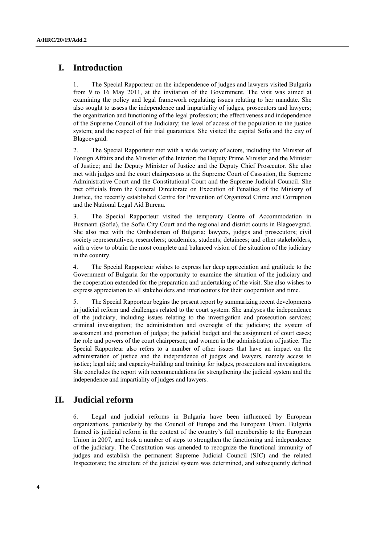# **I. Introduction**

1. The Special Rapporteur on the independence of judges and lawyers visited Bulgaria from 9 to 16 May 2011, at the invitation of the Government. The visit was aimed at examining the policy and legal framework regulating issues relating to her mandate. She also sought to assess the independence and impartiality of judges, prosecutors and lawyers; the organization and functioning of the legal profession; the effectiveness and independence of the Supreme Council of the Judiciary; the level of access of the population to the justice system; and the respect of fair trial guarantees. She visited the capital Sofia and the city of Blagoevgrad.

2. The Special Rapporteur met with a wide variety of actors, including the Minister of Foreign Affairs and the Minister of the Interior; the Deputy Prime Minister and the Minister of Justice; and the Deputy Minister of Justice and the Deputy Chief Prosecutor. She also met with judges and the court chairpersons at the Supreme Court of Cassation, the Supreme Administrative Court and the Constitutional Court and the Supreme Judicial Council. She met officials from the General Directorate on Execution of Penalties of the Ministry of Justice, the recently established Centre for Prevention of Organized Crime and Corruption and the National Legal Aid Bureau.

3. The Special Rapporteur visited the temporary Centre of Accommodation in Busmanti (Sofia), the Sofia City Court and the regional and district courts in Blagoevgrad. She also met with the Ombudsman of Bulgaria; lawyers, judges and prosecutors; civil society representatives; researchers; academics; students; detainees; and other stakeholders, with a view to obtain the most complete and balanced vision of the situation of the judiciary in the country.

4. The Special Rapporteur wishes to express her deep appreciation and gratitude to the Government of Bulgaria for the opportunity to examine the situation of the judiciary and the cooperation extended for the preparation and undertaking of the visit. She also wishes to express appreciation to all stakeholders and interlocutors for their cooperation and time.

5. The Special Rapporteur begins the present report by summarizing recent developments in judicial reform and challenges related to the court system. She analyses the independence of the judiciary, including issues relating to the investigation and prosecution services; criminal investigation; the administration and oversight of the judiciary; the system of assessment and promotion of judges; the judicial budget and the assignment of court cases; the role and powers of the court chairperson; and women in the administration of justice. The Special Rapporteur also refers to a number of other issues that have an impact on the administration of justice and the independence of judges and lawyers, namely access to justice; legal aid; and capacity-building and training for judges, prosecutors and investigators. She concludes the report with recommendations for strengthening the judicial system and the independence and impartiality of judges and lawyers.

# **II. Judicial reform**

6. Legal and judicial reforms in Bulgaria have been influenced by European organizations, particularly by the Council of Europe and the European Union. Bulgaria framed its judicial reform in the context of the country's full membership to the European Union in 2007, and took a number of steps to strengthen the functioning and independence of the judiciary. The Constitution was amended to recognize the functional immunity of judges and establish the permanent Supreme Judicial Council (SJC) and the related Inspectorate; the structure of the judicial system was determined, and subsequently defined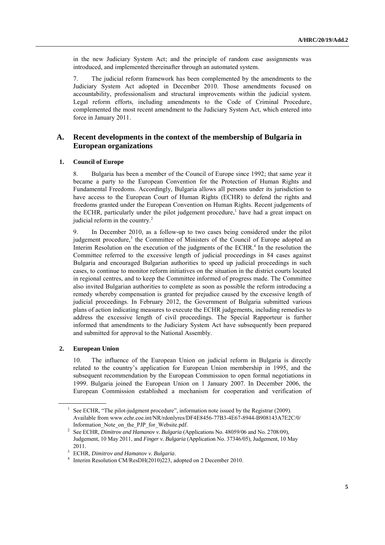in the new Judiciary System Act; and the principle of random case assignments was introduced, and implemented thereinafter through an automated system.

7. The judicial reform framework has been complemented by the amendments to the Judiciary System Act adopted in December 2010. Those amendments focused on accountability, professionalism and structural improvements within the judicial system. Legal reform efforts, including amendments to the Code of Criminal Procedure, complemented the most recent amendment to the Judiciary System Act, which entered into force in January 2011.

#### **A. Recent developments in the context of the membership of Bulgaria in European organizations**

#### **1. Council of Europe**

8. Bulgaria has been a member of the Council of Europe since 1992; that same year it became a party to the European Convention for the Protection of Human Rights and Fundamental Freedoms. Accordingly, Bulgaria allows all persons under its jurisdiction to have access to the European Court of Human Rights (ECHR) to defend the rights and freedoms granted under the European Convention on Human Rights. Recent judgements of the ECHR, particularly under the pilot judgement procedure,<sup>1</sup> have had a great impact on judicial reform in the country. $2$ 

9. In December 2010, as a follow-up to two cases being considered under the pilot judgement procedure,<sup>3</sup> the Committee of Ministers of the Council of Europe adopted an Interim Resolution on the execution of the judgments of the ECHR. 4 In the resolution the Committee referred to the excessive length of judicial proceedings in 84 cases against Bulgaria and encouraged Bulgarian authorities to speed up judicial proceedings in such cases, to continue to monitor reform initiatives on the situation in the district courts located in regional centres, and to keep the Committee informed of progress made. The Committee also invited Bulgarian authorities to complete as soon as possible the reform introducing a remedy whereby compensation is granted for prejudice caused by the excessive length of judicial proceedings. In February 2012, the Government of Bulgaria submitted various plans of action indicating measures to execute the ECHR judgements, including remedies to address the excessive length of civil proceedings. The Special Rapporteur is further informed that amendments to the Judiciary System Act have subsequently been prepared and submitted for approval to the National Assembly.

#### **2. European Union**

10. The influence of the European Union on judicial reform in Bulgaria is directly related to the country's application for European Union membership in 1995, and the subsequent recommendation by the European Commission to open formal negotiations in 1999. Bulgaria joined the European Union on 1 January 2007. In December 2006, the European Commission established a mechanism for cooperation and verification of

 $<sup>1</sup>$  See ECHR, "The pilot-judgment procedure", information note issued by the Registrar (2009).</sup> Available from www.echr.coe.int/NR/rdonlyres/DF4E8456-77B3-4E67-8944-B908143A7E2C/0/ Information Note on the PJP for Website.pdf.

<sup>2</sup> See ECHR, *Dimitrov and Hamanov v. Bulgaria* (Applications No. 48059/06 and No. 2708/09), Judgement, 10 May 2011, and *Finger v. Bulgaria* (Application No. 37346/05), Judgement, 10 May 2011.

<sup>3</sup> ECHR, *Dimitrov and Hamanov v. Bulgaria*.

<sup>&</sup>lt;sup>4</sup> Interim Resolution CM/ResDH(2010)223, adopted on 2 December 2010.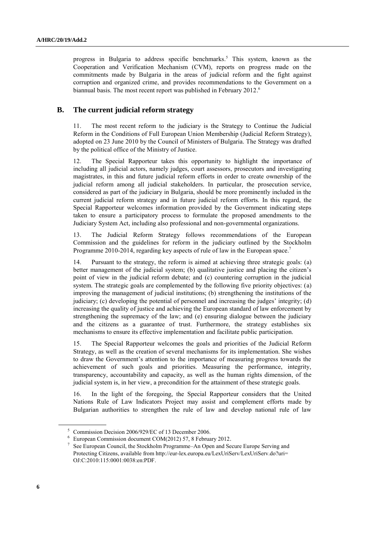progress in Bulgaria to address specific benchmarks. <sup>5</sup> This system, known as the Cooperation and Verification Mechanism (CVM), reports on progress made on the commitments made by Bulgaria in the areas of judicial reform and the fight against corruption and organized crime, and provides recommendations to the Government on a biannual basis. The most recent report was published in February 2012.<sup>6</sup>

#### **B. The current judicial reform strategy**

11. The most recent reform to the judiciary is the Strategy to Continue the Judicial Reform in the Conditions of Full European Union Membership (Judicial Reform Strategy), adopted on 23 June 2010 by the Council of Ministers of Bulgaria. The Strategy was drafted by the political office of the Ministry of Justice.

12. The Special Rapporteur takes this opportunity to highlight the importance of including all judicial actors, namely judges, court assessors, prosecutors and investigating magistrates, in this and future judicial reform efforts in order to create ownership of the judicial reform among all judicial stakeholders. In particular, the prosecution service, considered as part of the judiciary in Bulgaria, should be more prominently included in the current judicial reform strategy and in future judicial reform efforts. In this regard, the Special Rapporteur welcomes information provided by the Government indicating steps taken to ensure a participatory process to formulate the proposed amendments to the Judiciary System Act, including also professional and non-governmental organizations.

13. The Judicial Reform Strategy follows recommendations of the European Commission and the guidelines for reform in the judiciary outlined by the Stockholm Programme 2010-2014, regarding key aspects of rule of law in the European space.<sup>7</sup>

14. Pursuant to the strategy, the reform is aimed at achieving three strategic goals: (a) better management of the judicial system; (b) qualitative justice and placing the citizen's point of view in the judicial reform debate; and (c) countering corruption in the judicial system. The strategic goals are complemented by the following five priority objectives: (a) improving the management of judicial institutions; (b) strengthening the institutions of the judiciary; (c) developing the potential of personnel and increasing the judges' integrity; (d) increasing the quality of justice and achieving the European standard of law enforcement by strengthening the supremacy of the law; and (e) ensuring dialogue between the judiciary and the citizens as a guarantee of trust. Furthermore, the strategy establishes six mechanisms to ensure its effective implementation and facilitate public participation.

15. The Special Rapporteur welcomes the goals and priorities of the Judicial Reform Strategy, as well as the creation of several mechanisms for its implementation. She wishes to draw the Government's attention to the importance of measuring progress towards the achievement of such goals and priorities. Measuring the performance, integrity, transparency, accountability and capacity, as well as the human rights dimension, of the judicial system is, in her view, a precondition for the attainment of these strategic goals.

16. In the light of the foregoing, the Special Rapporteur considers that the United Nations Rule of Law Indicators Project may assist and complement efforts made by Bulgarian authorities to strengthen the rule of law and develop national rule of law

<sup>5</sup> Commission Decision 2006/929/EC of 13 December 2006.

<sup>6</sup> European Commission document COM(2012) 57, 8 February 2012.

<sup>7</sup> See European Council, the Stockholm Programme–An Open and Secure Europe Serving and Protecting Citizens, available from http://eur-lex.europa.eu/LexUriServ/LexUriServ.do?uri= OJ:C:2010:115:0001:0038:en:PDF.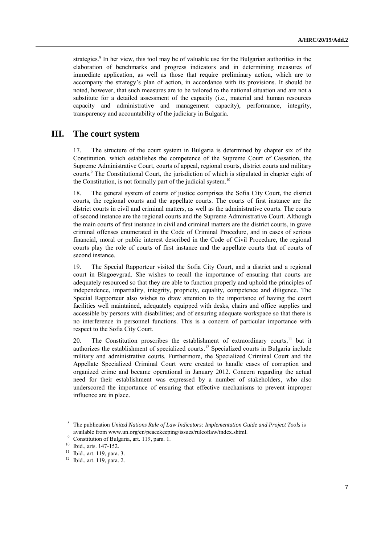strategies.<sup>8</sup> In her view, this tool may be of valuable use for the Bulgarian authorities in the elaboration of benchmarks and progress indicators and in determining measures of immediate application, as well as those that require preliminary action, which are to accompany the strategy's plan of action, in accordance with its provisions. It should be noted, however, that such measures are to be tailored to the national situation and are not a substitute for a detailed assessment of the capacity (i.e., material and human resources capacity and administrative and management capacity), performance, integrity, transparency and accountability of the judiciary in Bulgaria.

### **III. The court system**

17. The structure of the court system in Bulgaria is determined by chapter six of the Constitution, which establishes the competence of the Supreme Court of Cassation, the Supreme Administrative Court, courts of appeal, regional courts, district courts and military courts.<sup>9</sup> The Constitutional Court, the jurisdiction of which is stipulated in chapter eight of the Constitution, is not formally part of the judicial system.<sup>10</sup>

18. The general system of courts of justice comprises the Sofia City Court, the district courts, the regional courts and the appellate courts. The courts of first instance are the district courts in civil and criminal matters, as well as the administrative courts. The courts of second instance are the regional courts and the Supreme Administrative Court. Although the main courts of first instance in civil and criminal matters are the district courts, in grave criminal offenses enumerated in the Code of Criminal Procedure, and in cases of serious financial, moral or public interest described in the Code of Civil Procedure, the regional courts play the role of courts of first instance and the appellate courts that of courts of second instance.

19. The Special Rapporteur visited the Sofia City Court, and a district and a regional court in Blagoevgrad. She wishes to recall the importance of ensuring that courts are adequately resourced so that they are able to function properly and uphold the principles of independence, impartiality, integrity, propriety, equality, competence and diligence. The Special Rapporteur also wishes to draw attention to the importance of having the court facilities well maintained, adequately equipped with desks, chairs and office supplies and accessible by persons with disabilities; and of ensuring adequate workspace so that there is no interference in personnel functions. This is a concern of particular importance with respect to the Sofia City Court.

20. The Constitution proscribes the establishment of extraordinary courts,<sup>11</sup> but it authorizes the establishment of specialized courts. <sup>12</sup> Specialized courts in Bulgaria include military and administrative courts. Furthermore, the Specialized Criminal Court and the Appellate Specialized Criminal Court were created to handle cases of corruption and organized crime and became operational in January 2012. Concern regarding the actual need for their establishment was expressed by a number of stakeholders, who also underscored the importance of ensuring that effective mechanisms to prevent improper influence are in place.

<sup>8</sup> The publication *United Nations Rule of Law Indicators: Implementation Guide and Project Tools* is available from [www.un.org/en/peacekeeping/issues/ruleoflaw/index.shtml.](http://www.un.org/en/peacekeeping/issues/ruleoflaw/index.shtml)

<sup>9</sup> Constitution of Bulgaria, art. 119, para. 1.

<sup>10</sup> Ibid., arts. 147-152.

<sup>11</sup> Ibid., art. 119, para. 3.

<sup>12</sup> Ibid., art. 119, para. 2.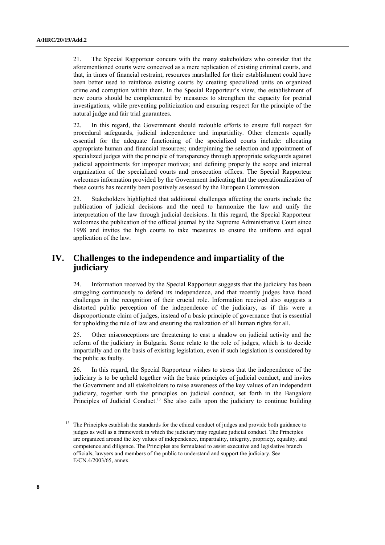21. The Special Rapporteur concurs with the many stakeholders who consider that the aforementioned courts were conceived as a mere replication of existing criminal courts, and that, in times of financial restraint, resources marshalled for their establishment could have been better used to reinforce existing courts by creating specialized units on organized crime and corruption within them. In the Special Rapporteur's view, the establishment of new courts should be complemented by measures to strengthen the capacity for pretrial investigations, while preventing politicization and ensuring respect for the principle of the natural judge and fair trial guarantees.

22. In this regard, the Government should redouble efforts to ensure full respect for procedural safeguards, judicial independence and impartiality. Other elements equally essential for the adequate functioning of the specialized courts include: allocating appropriate human and financial resources; underpinning the selection and appointment of specialized judges with the principle of transparency through appropriate safeguards against judicial appointments for improper motives; and defining properly the scope and internal organization of the specialized courts and prosecution offices. The Special Rapporteur welcomes information provided by the Government indicating that the operationalization of these courts has recently been positively assessed by the European Commission.

23. Stakeholders highlighted that additional challenges affecting the courts include the publication of judicial decisions and the need to harmonize the law and unify the interpretation of the law through judicial decisions. In this regard, the Special Rapporteur welcomes the publication of the official journal by the Supreme Administrative Court since 1998 and invites the high courts to take measures to ensure the uniform and equal application of the law.

# **IV. Challenges to the independence and impartiality of the judiciary**

24. Information received by the Special Rapporteur suggests that the judiciary has been struggling continuously to defend its independence, and that recently judges have faced challenges in the recognition of their crucial role. Information received also suggests a distorted public perception of the independence of the judiciary, as if this were a disproportionate claim of judges, instead of a basic principle of governance that is essential for upholding the rule of law and ensuring the realization of all human rights for all.

25. Other misconceptions are threatening to cast a shadow on judicial activity and the reform of the judiciary in Bulgaria. Some relate to the role of judges, which is to decide impartially and on the basis of existing legislation, even if such legislation is considered by the public as faulty.

26. In this regard, the Special Rapporteur wishes to stress that the independence of the judiciary is to be upheld together with the basic principles of judicial conduct, and invites the Government and all stakeholders to raise awareness of the key values of an independent judiciary, together with the principles on judicial conduct, set forth in the Bangalore Principles of Judicial Conduct.<sup>13</sup> She also calls upon the judiciary to continue building

<sup>&</sup>lt;sup>13</sup> The Principles establish the standards for the ethical conduct of judges and provide both guidance to judges as well as a framework in which the judiciary may regulate judicial conduct. The Principles are organized around the key values of independence, impartiality, integrity, propriety, equality, and competence and diligence. The Principles are formulated to assist executive and legislative branch officials, lawyers and members of the public to understand and support the judiciary. See E/CN.4/2003/65, annex.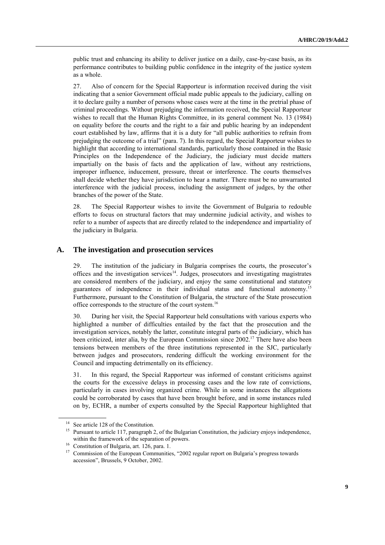public trust and enhancing its ability to deliver justice on a daily, case-by-case basis, as its performance contributes to building public confidence in the integrity of the justice system as a whole.

27. Also of concern for the Special Rapporteur is information received during the visit indicating that a senior Government official made public appeals to the judiciary, calling on it to declare guilty a number of persons whose cases were at the time in the pretrial phase of criminal proceedings. Without prejudging the information received, the Special Rapporteur wishes to recall that the Human Rights Committee, in its general comment No. 13 (1984) on equality before the courts and the right to a fair and public hearing by an independent court established by law, affirms that it is a duty for "all public authorities to refrain from prejudging the outcome of a trial" (para. 7). In this regard, the Special Rapporteur wishes to highlight that according to international standards, particularly those contained in the Basic Principles on the Independence of the Judiciary, the judiciary must decide matters impartially on the basis of facts and the application of law, without any restrictions, improper influence, inducement, pressure, threat or interference. The courts themselves shall decide whether they have jurisdiction to hear a matter. There must be no unwarranted interference with the judicial process, including the assignment of judges, by the other branches of the power of the State.

28. The Special Rapporteur wishes to invite the Government of Bulgaria to redouble efforts to focus on structural factors that may undermine judicial activity, and wishes to refer to a number of aspects that are directly related to the independence and impartiality of the judiciary in Bulgaria.

#### **A. The investigation and prosecution services**

29. The institution of the judiciary in Bulgaria comprises the courts, the prosecutor's offices and the investigation services $14$ . Judges, prosecutors and investigating magistrates are considered members of the judiciary, and enjoy the same constitutional and statutory guarantees of independence in their individual status and functional autonomy.<sup>15</sup> Furthermore, pursuant to the Constitution of Bulgaria, the structure of the State prosecution office corresponds to the structure of the court system.<sup>16</sup>

30. During her visit, the Special Rapporteur held consultations with various experts who highlighted a number of difficulties entailed by the fact that the prosecution and the investigation services, notably the latter, constitute integral parts of the judiciary, which has been criticized, inter alia, by the European Commission since 2002.<sup>17</sup> There have also been tensions between members of the three institutions represented in the SJC, particularly between judges and prosecutors, rendering difficult the working environment for the Council and impacting detrimentally on its efficiency.

31. In this regard, the Special Rapporteur was informed of constant criticisms against the courts for the excessive delays in processing cases and the low rate of convictions, particularly in cases involving organized crime. While in some instances the allegations could be corroborated by cases that have been brought before, and in some instances ruled on by, ECHR, a number of experts consulted by the Special Rapporteur highlighted that

<sup>&</sup>lt;sup>14</sup> See article 128 of the Constitution.

<sup>&</sup>lt;sup>15</sup> Pursuant to article 117, paragraph 2, of the Bulgarian Constitution, the judiciary enjoys independence, within the framework of the separation of powers.

<sup>&</sup>lt;sup>16</sup> Constitution of Bulgaria, art. 126, para. 1.<br><sup>17</sup> Commission of the European Communities

Commission of the European Communities, "2002 regular report on Bulgaria's progress towards accession", Brussels, 9 October, 2002.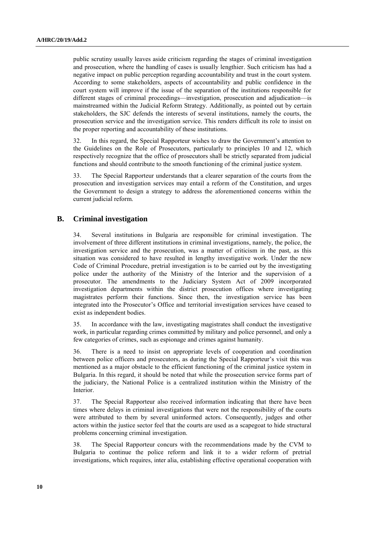public scrutiny usually leaves aside criticism regarding the stages of criminal investigation and prosecution, where the handling of cases is usually lengthier. Such criticism has had a negative impact on public perception regarding accountability and trust in the court system. According to some stakeholders, aspects of accountability and public confidence in the court system will improve if the issue of the separation of the institutions responsible for different stages of criminal proceedings—investigation, prosecution and adjudication—is mainstreamed within the Judicial Reform Strategy. Additionally, as pointed out by certain stakeholders, the SJC defends the interests of several institutions, namely the courts, the prosecution service and the investigation service. This renders difficult its role to insist on the proper reporting and accountability of these institutions.

32. In this regard, the Special Rapporteur wishes to draw the Government's attention to the Guidelines on the Role of Prosecutors, particularly to principles 10 and 12, which respectively recognize that the office of prosecutors shall be strictly separated from judicial functions and should contribute to the smooth functioning of the criminal justice system.

33. The Special Rapporteur understands that a clearer separation of the courts from the prosecution and investigation services may entail a reform of the Constitution, and urges the Government to design a strategy to address the aforementioned concerns within the current judicial reform.

### **B. Criminal investigation**

34. Several institutions in Bulgaria are responsible for criminal investigation. The involvement of three different institutions in criminal investigations, namely, the police, the investigation service and the prosecution, was a matter of criticism in the past, as this situation was considered to have resulted in lengthy investigative work. Under the new Code of Criminal Procedure, pretrial investigation is to be carried out by the investigating police under the authority of the Ministry of the Interior and the supervision of a prosecutor. The amendments to the Judiciary System Act of 2009 incorporated investigation departments within the district prosecution offices where investigating magistrates perform their functions. Since then, the investigation service has been integrated into the Prosecutor's Office and territorial investigation services have ceased to exist as independent bodies.

35. In accordance with the law, investigating magistrates shall conduct the investigative work, in particular regarding crimes committed by military and police personnel, and only a few categories of crimes, such as espionage and crimes against humanity.

36. There is a need to insist on appropriate levels of cooperation and coordination between police officers and prosecutors, as during the Special Rapporteur's visit this was mentioned as a major obstacle to the efficient functioning of the criminal justice system in Bulgaria. In this regard, it should be noted that while the prosecution service forms part of the judiciary, the National Police is a centralized institution within the Ministry of the Interior.

37. The Special Rapporteur also received information indicating that there have been times where delays in criminal investigations that were not the responsibility of the courts were attributed to them by several uninformed actors. Consequently, judges and other actors within the justice sector feel that the courts are used as a scapegoat to hide structural problems concerning criminal investigation.

38. The Special Rapporteur concurs with the recommendations made by the CVM to Bulgaria to continue the police reform and link it to a wider reform of pretrial investigations, which requires, inter alia, establishing effective operational cooperation with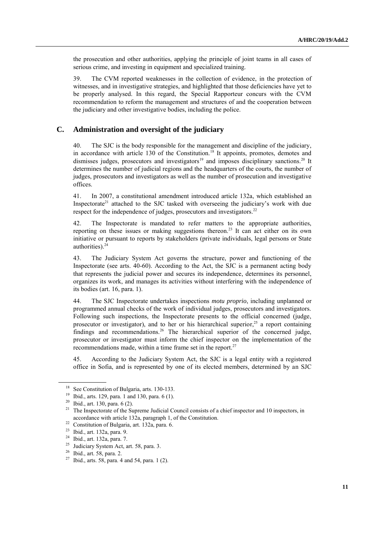the prosecution and other authorities, applying the principle of joint teams in all cases of serious crime, and investing in equipment and specialized training.

39. The CVM reported weaknesses in the collection of evidence, in the protection of witnesses, and in investigative strategies, and highlighted that those deficiencies have yet to be properly analysed. In this regard, the Special Rapporteur concurs with the CVM recommendation to reform the management and structures of and the cooperation between the judiciary and other investigative bodies, including the police.

### **C. Administration and oversight of the judiciary**

40. The SJC is the body responsible for the management and discipline of the judiciary, in accordance with article 130 of the Constitution.<sup>18</sup> It appoints, promotes, demotes and dismisses judges, prosecutors and investigators<sup>19</sup> and imposes disciplinary sanctions.<sup>20</sup> It determines the number of judicial regions and the headquarters of the courts, the number of judges, prosecutors and investigators as well as the number of prosecution and investigative offices.

41. In 2007, a constitutional amendment introduced article 132a, which established an Inspectorate<sup>21</sup> attached to the SJC tasked with overseeing the judiciary's work with due respect for the independence of judges, prosecutors and investigators.<sup>22</sup>

42. The Inspectorate is mandated to refer matters to the appropriate authorities, reporting on these issues or making suggestions thereon. <sup>23</sup> It can act either on its own initiative or pursuant to reports by stakeholders (private individuals, legal persons or State authorities). 24

43. The Judiciary System Act governs the structure, power and functioning of the Inspectorate (see arts. 40-60). According to the Act, the SJC is a permanent acting body that represents the judicial power and secures its independence, determines its personnel, organizes its work, and manages its activities without interfering with the independence of its bodies (art. 16, para. 1).

44. The SJC Inspectorate undertakes inspections *motu proprio*, including unplanned or programmed annual checks of the work of individual judges, prosecutors and investigators. Following such inspections, the Inspectorate presents to the official concerned (judge, prosecutor or investigator), and to her or his hierarchical superior,<sup>25</sup> a report containing findings and recommendations.<sup>26</sup> The hierarchical superior of the concerned judge, prosecutor or investigator must inform the chief inspector on the implementation of the recommendations made, within a time frame set in the report. $27$ 

45. According to the Judiciary System Act, the SJC is a legal entity with a registered office in Sofia, and is represented by one of its elected members, determined by an SJC

<sup>18</sup> See Constitution of Bulgaria, arts. 130-133.

<sup>19</sup> Ibid., arts. 129, para. 1 and 130, para. 6 (1).

<sup>20</sup> Ibid., art. 130, para. 6 (2).

<sup>&</sup>lt;sup>21</sup> The Inspectorate of the Supreme Judicial Council consists of a chief inspector and 10 inspectors, in accordance with article 132a, paragraph 1, of the Constitution.

<sup>22</sup> Constitution of Bulgaria, art. 132a, para. 6.

<sup>23</sup> Ibid., art. 132a, para. 9.

<sup>&</sup>lt;sup>24</sup> Ibid., art. 132a, para. 7.

Judiciary System Act, art. 58, para. 3.

<sup>26</sup> Ibid., art. 58, para. 2.

 $27$  Ibid., arts. 58, para. 4 and 54, para. 1 (2).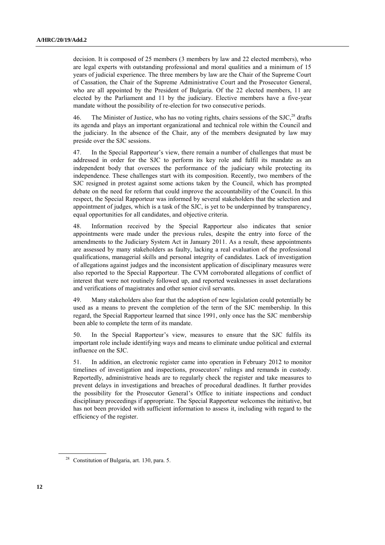decision. It is composed of 25 members (3 members by law and 22 elected members), who are legal experts with outstanding professional and moral qualities and a minimum of 15 years of judicial experience. The three members by law are the Chair of the Supreme Court of Cassation, the Chair of the Supreme Administrative Court and the Prosecutor General, who are all appointed by the President of Bulgaria. Of the 22 elected members, 11 are elected by the Parliament and 11 by the judiciary. Elective members have a five-year mandate without the possibility of re-election for two consecutive periods.

46. The Minister of Justice, who has no voting rights, chairs sessions of the  $SLC<sub>28</sub>$ <sup>28</sup> drafts its agenda and plays an important organizational and technical role within the Council and the judiciary. In the absence of the Chair, any of the members designated by law may preside over the SJC sessions.

47. In the Special Rapporteur's view, there remain a number of challenges that must be addressed in order for the SJC to perform its key role and fulfil its mandate as an independent body that oversees the performance of the judiciary while protecting its independence. These challenges start with its composition. Recently, two members of the SJC resigned in protest against some actions taken by the Council, which has prompted debate on the need for reform that could improve the accountability of the Council. In this respect, the Special Rapporteur was informed by several stakeholders that the selection and appointment of judges, which is a task of the SJC, is yet to be underpinned by transparency, equal opportunities for all candidates, and objective criteria.

48. Information received by the Special Rapporteur also indicates that senior appointments were made under the previous rules, despite the entry into force of the amendments to the Judiciary System Act in January 2011. As a result, these appointments are assessed by many stakeholders as faulty, lacking a real evaluation of the professional qualifications, managerial skills and personal integrity of candidates. Lack of investigation of allegations against judges and the inconsistent application of disciplinary measures were also reported to the Special Rapporteur. The CVM corroborated allegations of conflict of interest that were not routinely followed up, and reported weaknesses in asset declarations and verifications of magistrates and other senior civil servants.

49. Many stakeholders also fear that the adoption of new legislation could potentially be used as a means to prevent the completion of the term of the SJC membership. In this regard, the Special Rapporteur learned that since 1991, only once has the SJC membership been able to complete the term of its mandate.

50. In the Special Rapporteur's view, measures to ensure that the SJC fulfils its important role include identifying ways and means to eliminate undue political and external influence on the SJC.

51. In addition, an electronic register came into operation in February 2012 to monitor timelines of investigation and inspections, prosecutors' rulings and remands in custody. Reportedly, administrative heads are to regularly check the register and take measures to prevent delays in investigations and breaches of procedural deadlines. It further provides the possibility for the Prosecutor General's Office to initiate inspections and conduct disciplinary proceedings if appropriate. The Special Rapporteur welcomes the initiative, but has not been provided with sufficient information to assess it, including with regard to the efficiency of the register.

<sup>28</sup> Constitution of Bulgaria, art. 130, para. 5.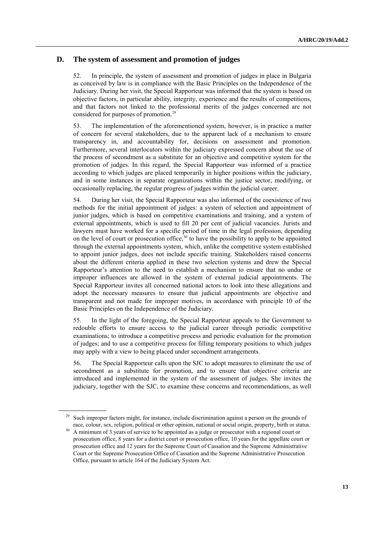### **D. The system of assessment and promotion of judges**

52. In principle, the system of assessment and promotion of judges in place in Bulgaria as conceived by law is in compliance with the Basic Principles on the Independence of the Judiciary. During her visit, the Special Rapporteur was informed that the system is based on objective factors, in particular ability, integrity, experience and the results of competitions, and that factors not linked to the professional merits of the judges concerned are not considered for purposes of promotion.<sup>29</sup>

53. The implementation of the aforementioned system, however, is in practice a matter of concern for several stakeholders, due to the apparent lack of a mechanism to ensure transparency in, and accountability for, decisions on assessment and promotion. Furthermore, several interlocutors within the judiciary expressed concern about the use of the process of secondment as a substitute for an objective and competitive system for the promotion of judges. In this regard, the Special Rapporteur was informed of a practice according to which judges are placed temporarily in higher positions within the judiciary, and in some instances in separate organizations within the justice sector, modifying, or occasionally replacing, the regular progress of judges within the judicial career.

54. During her visit, the Special Rapporteur was also informed of the coexistence of two methods for the initial appointment of judges: a system of selection and appointment of junior judges, which is based on competitive examinations and training, and a system of external appointments, which is used to fill 20 per cent of judicial vacancies. Jurists and lawyers must have worked for a specific period of time in the legal profession, depending on the level of court or prosecution office,  $30$  to have the possibility to apply to be appointed through the external appointments system, which, unlike the competitive system established to appoint junior judges, does not include specific training. Stakeholders raised concerns about the different criteria applied in these two selection systems and drew the Special Rapporteur's attention to the need to establish a mechanism to ensure that no undue or improper influences are allowed in the system of external judicial appointments. The Special Rapporteur invites all concerned national actors to look into these allegations and adopt the necessary measures to ensure that judicial appointments are objective and transparent and not made for improper motives, in accordance with principle 10 of the Basic Principles on the Independence of the Judiciary.

55. In the light of the foregoing, the Special Rapporteur appeals to the Government to redouble efforts to ensure access to the judicial career through periodic competitive examinations; to introduce a competitive process and periodic evaluation for the promotion of judges; and to use a competitive process for filling temporary positions to which judges may apply with a view to being placed under secondment arrangements.

56. The Special Rapporteur calls upon the SJC to adopt measures to eliminate the use of secondment as a substitute for promotion, and to ensure that objective criteria are introduced and implemented in the system of the assessment of judges. She invites the judiciary, together with the SJC, to examine these concerns and recommendations, as well

Such improper factors might, for instance, include discrimination against a person on the grounds of race, colour, sex, religion, political or other opinion, national or social origin, property, birth or status.

<sup>&</sup>lt;sup>30</sup> A minimum of 3 years of service to be appointed as a judge or prosecutor with a regional court or prosecution office, 8 years for a district court or prosecution office, 10 years for the appellate court or prosecution office and 12 years for the Supreme Court of Cassation and the Supreme Administrative Court or the Supreme Prosecution Office of Cassation and the Supreme Administrative Prosecution Office, pursuant to article 164 of the Judiciary System Act.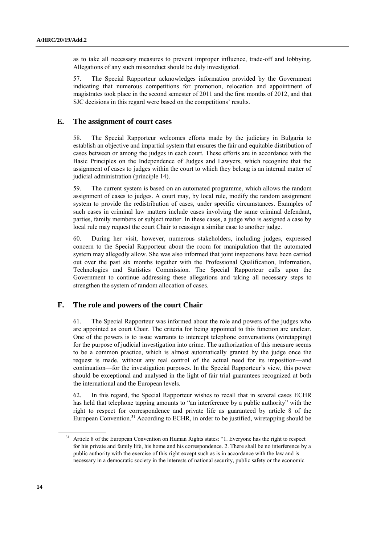as to take all necessary measures to prevent improper influence, trade-off and lobbying. Allegations of any such misconduct should be duly investigated.

57. The Special Rapporteur acknowledges information provided by the Government indicating that numerous competitions for promotion, relocation and appointment of magistrates took place in the second semester of 2011 and the first months of 2012, and that SJC decisions in this regard were based on the competitions' results.

#### **E. The assignment of court cases**

58. The Special Rapporteur welcomes efforts made by the judiciary in Bulgaria to establish an objective and impartial system that ensures the fair and equitable distribution of cases between or among the judges in each court. These efforts are in accordance with the Basic Principles on the Independence of Judges and Lawyers, which recognize that the assignment of cases to judges within the court to which they belong is an internal matter of judicial administration (principle 14).

59. The current system is based on an automated programme, which allows the random assignment of cases to judges. A court may, by local rule, modify the random assignment system to provide the redistribution of cases, under specific circumstances. Examples of such cases in criminal law matters include cases involving the same criminal defendant, parties, family members or subject matter. In these cases, a judge who is assigned a case by local rule may request the court Chair to reassign a similar case to another judge.

60. During her visit, however, numerous stakeholders, including judges, expressed concern to the Special Rapporteur about the room for manipulation that the automated system may allegedly allow. She was also informed that joint inspections have been carried out over the past six months together with the Professional Qualification, Information, Technologies and Statistics Commission. The Special Rapporteur calls upon the Government to continue addressing these allegations and taking all necessary steps to strengthen the system of random allocation of cases.

### **F. The role and powers of the court Chair**

61. The Special Rapporteur was informed about the role and powers of the judges who are appointed as court Chair. The criteria for being appointed to this function are unclear. One of the powers is to issue warrants to intercept telephone conversations (wiretapping) for the purpose of judicial investigation into crime. The authorization of this measure seems to be a common practice, which is almost automatically granted by the judge once the request is made, without any real control of the actual need for its imposition—and continuation—for the investigation purposes. In the Special Rapporteur's view, this power should be exceptional and analysed in the light of fair trial guarantees recognized at both the international and the European levels.

62. In this regard, the Special Rapporteur wishes to recall that in several cases ECHR has held that telephone tapping amounts to "an interference by a public authority" with the right to respect for correspondence and private life as guaranteed by article 8 of the European Convention.<sup>31</sup> According to ECHR, in order to be justified, wiretapping should be

<sup>&</sup>lt;sup>31</sup> Article 8 of the European Convention on Human Rights states: "1. Everyone has the right to respect for his private and family life, his home and his correspondence. 2. There shall be no interference by a public authority with the exercise of this right except such as is in accordance with the law and is necessary in a democratic society in the interests of national security, public safety or the economic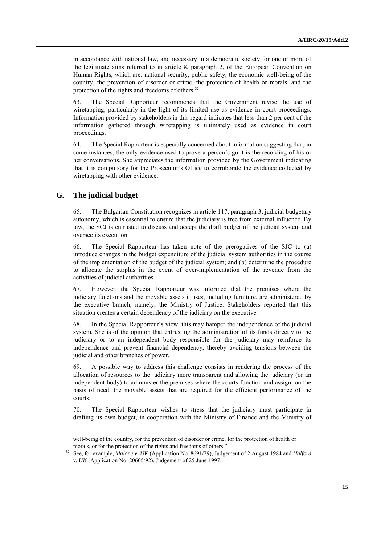in accordance with national law, and necessary in a democratic society for one or more of the legitimate aims referred to in article 8, paragraph 2, of the European Convention on Human Rights, which are: national security, public safety, the economic well-being of the country, the prevention of disorder or crime, the protection of health or morals, and the protection of the rights and freedoms of others.<sup>32</sup>

63. The Special Rapporteur recommends that the Government revise the use of wiretapping, particularly in the light of its limited use as evidence in court proceedings. Information provided by stakeholders in this regard indicates that less than 2 per cent of the information gathered through wiretapping is ultimately used as evidence in court proceedings.

64. The Special Rapporteur is especially concerned about information suggesting that, in some instances, the only evidence used to prove a person's guilt is the recording of his or her conversations. She appreciates the information provided by the Government indicating that it is compulsory for the Prosecutor's Office to corroborate the evidence collected by wiretapping with other evidence.

#### **G. The judicial budget**

65. The Bulgarian Constitution recognizes in article 117, paragraph 3, judicial budgetary autonomy, which is essential to ensure that the judiciary is free from external influence. By law, the SCJ is entrusted to discuss and accept the draft budget of the judicial system and oversee its execution.

66. The Special Rapporteur has taken note of the prerogatives of the SJC to (a) introduce changes in the budget expenditure of the judicial system authorities in the course of the implementation of the budget of the judicial system; and (b) determine the procedure to allocate the surplus in the event of over-implementation of the revenue from the activities of judicial authorities.

67. However, the Special Rapporteur was informed that the premises where the judiciary functions and the movable assets it uses, including furniture, are administered by the executive branch, namely, the Ministry of Justice. Stakeholders reported that this situation creates a certain dependency of the judiciary on the executive.

68. In the Special Rapporteur's view, this may hamper the independence of the judicial system. She is of the opinion that entrusting the administration of its funds directly to the judiciary or to an independent body responsible for the judiciary may reinforce its independence and prevent financial dependency, thereby avoiding tensions between the judicial and other branches of power.

69. A possible way to address this challenge consists in rendering the process of the allocation of resources to the judiciary more transparent and allowing the judiciary (or an independent body) to administer the premises where the courts function and assign, on the basis of need, the movable assets that are required for the efficient performance of the courts.

70. The Special Rapporteur wishes to stress that the judiciary must participate in drafting its own budget, in cooperation with the Ministry of Finance and the Ministry of

well-being of the country, for the prevention of disorder or crime, for the protection of health or morals, or for the protection of the rights and freedoms of others."

<sup>32</sup> See, for example, *Malone v. UK* (Application No. 8691/79), Judgement of 2 August 1984 and *Halford v. UK* (Application No. 20605/92), Judgement of 25 June 1997.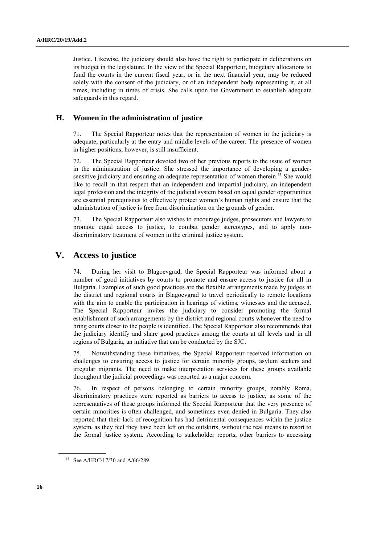Justice. Likewise, the judiciary should also have the right to participate in deliberations on its budget in the legislature. In the view of the Special Rapporteur, budgetary allocations to fund the courts in the current fiscal year, or in the next financial year, may be reduced solely with the consent of the judiciary, or of an independent body representing it, at all times, including in times of crisis. She calls upon the Government to establish adequate safeguards in this regard.

#### **H. Women in the administration of justice**

71. The Special Rapporteur notes that the representation of women in the judiciary is adequate, particularly at the entry and middle levels of the career. The presence of women in higher positions, however, is still insufficient.

72. The Special Rapporteur devoted two of her previous reports to the issue of women in the administration of justice. She stressed the importance of developing a gendersensitive judiciary and ensuring an adequate representation of women therein.<sup>33</sup> She would like to recall in that respect that an independent and impartial judiciary, an independent legal profession and the integrity of the judicial system based on equal gender opportunities are essential prerequisites to effectively protect women's human rights and ensure that the administration of justice is free from discrimination on the grounds of gender.

73. The Special Rapporteur also wishes to encourage judges, prosecutors and lawyers to promote equal access to justice, to combat gender stereotypes, and to apply nondiscriminatory treatment of women in the criminal justice system.

### **V. Access to justice**

74. During her visit to Blagoevgrad, the Special Rapporteur was informed about a number of good initiatives by courts to promote and ensure access to justice for all in Bulgaria. Examples of such good practices are the flexible arrangements made by judges at the district and regional courts in Blagoevgrad to travel periodically to remote locations with the aim to enable the participation in hearings of victims, witnesses and the accused. The Special Rapporteur invites the judiciary to consider promoting the formal establishment of such arrangements by the district and regional courts whenever the need to bring courts closer to the people is identified. The Special Rapporteur also recommends that the judiciary identify and share good practices among the courts at all levels and in all regions of Bulgaria, an initiative that can be conducted by the SJC.

75. Notwithstanding these initiatives, the Special Rapporteur received information on challenges to ensuring access to justice for certain minority groups, asylum seekers and irregular migrants. The need to make interpretation services for these groups available throughout the judicial proceedings was reported as a major concern.

76. In respect of persons belonging to certain minority groups, notably Roma, discriminatory practices were reported as barriers to access to justice, as some of the representatives of these groups informed the Special Rapporteur that the very presence of certain minorities is often challenged, and sometimes even denied in Bulgaria. They also reported that their lack of recognition has had detrimental consequences within the justice system, as they feel they have been left on the outskirts, without the real means to resort to the formal justice system. According to stakeholder reports, other barriers to accessing

<sup>33</sup> See A/HRC/17/30 and A/66/289.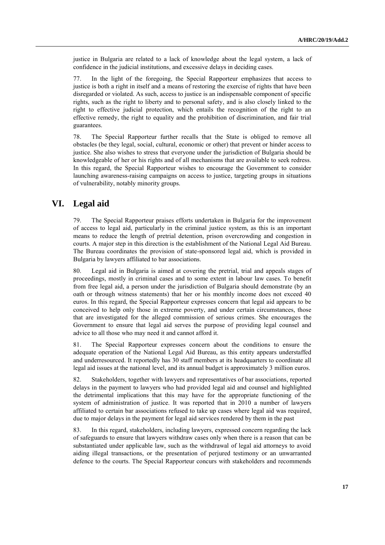justice in Bulgaria are related to a lack of knowledge about the legal system, a lack of confidence in the judicial institutions, and excessive delays in deciding cases.

77. In the light of the foregoing, the Special Rapporteur emphasizes that access to justice is both a right in itself and a means of restoring the exercise of rights that have been disregarded or violated. As such, access to justice is an indispensable component of specific rights, such as the right to liberty and to personal safety, and is also closely linked to the right to effective judicial protection, which entails the recognition of the right to an effective remedy, the right to equality and the prohibition of discrimination, and fair trial guarantees.

78. The Special Rapporteur further recalls that the State is obliged to remove all obstacles (be they legal, social, cultural, economic or other) that prevent or hinder access to justice. She also wishes to stress that everyone under the jurisdiction of Bulgaria should be knowledgeable of her or his rights and of all mechanisms that are available to seek redress. In this regard, the Special Rapporteur wishes to encourage the Government to consider launching awareness-raising campaigns on access to justice, targeting groups in situations of vulnerability, notably minority groups.

# **VI. Legal aid**

79. The Special Rapporteur praises efforts undertaken in Bulgaria for the improvement of access to legal aid, particularly in the criminal justice system, as this is an important means to reduce the length of pretrial detention, prison overcrowding and congestion in courts. A major step in this direction is the establishment of the National Legal Aid Bureau. The Bureau coordinates the provision of state-sponsored legal aid, which is provided in Bulgaria by lawyers affiliated to bar associations.

80. Legal aid in Bulgaria is aimed at covering the pretrial, trial and appeals stages of proceedings, mostly in criminal cases and to some extent in labour law cases. To benefit from free legal aid, a person under the jurisdiction of Bulgaria should demonstrate (by an oath or through witness statements) that her or his monthly income does not exceed 40 euros. In this regard, the Special Rapporteur expresses concern that legal aid appears to be conceived to help only those in extreme poverty, and under certain circumstances, those that are investigated for the alleged commission of serious crimes. She encourages the Government to ensure that legal aid serves the purpose of providing legal counsel and advice to all those who may need it and cannot afford it.

81. The Special Rapporteur expresses concern about the conditions to ensure the adequate operation of the National Legal Aid Bureau, as this entity appears understaffed and underresourced. It reportedly has 30 staff members at its headquarters to coordinate all legal aid issues at the national level, and its annual budget is approximately 3 million euros.

82. Stakeholders, together with lawyers and representatives of bar associations, reported delays in the payment to lawyers who had provided legal aid and counsel and highlighted the detrimental implications that this may have for the appropriate functioning of the system of administration of justice. It was reported that in 2010 a number of lawyers affiliated to certain bar associations refused to take up cases where legal aid was required, due to major delays in the payment for legal aid services rendered by them in the past

83. In this regard, stakeholders, including lawyers, expressed concern regarding the lack of safeguards to ensure that lawyers withdraw cases only when there is a reason that can be substantiated under applicable law, such as the withdrawal of legal aid attorneys to avoid aiding illegal transactions, or the presentation of perjured testimony or an unwarranted defence to the courts. The Special Rapporteur concurs with stakeholders and recommends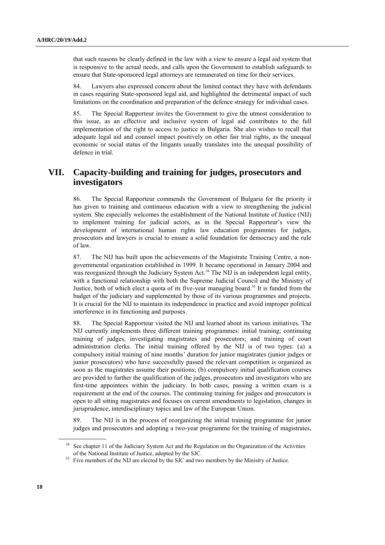that such reasons be clearly defined in the law with a view to ensure a legal aid system that is responsive to the actual needs, and calls upon the Government to establish safeguards to ensure that State-sponsored legal attorneys are remunerated on time for their services.

84. Lawyers also expressed concern about the limited contact they have with defendants in cases requiring State-sponsored legal aid, and highlighted the detrimental impact of such limitations on the coordination and preparation of the defence strategy for individual cases.

85. The Special Rapporteur invites the Government to give the utmost consideration to this issue, as an effective and inclusive system of legal aid contributes to the full implementation of the right to access to justice in Bulgaria. She also wishes to recall that adequate legal aid and counsel impact positively on other fair trial rights, as the unequal economic or social status of the litigants usually translates into the unequal possibility of defence in trial.

### **VII. Capacity-building and training for judges, prosecutors and investigators**

86. The Special Rapporteur commends the Government of Bulgaria for the priority it has given to training and continuous education with a view to strengthening the judicial system. She especially welcomes the establishment of the National Institute of Justice (NIJ) to implement training for judicial actors, as in the Special Rapporteur's view the development of international human rights law education programmes for judges, prosecutors and lawyers is crucial to ensure a solid foundation for democracy and the rule of law.

87. The NIJ has built upon the achievements of the Magistrate Training Centre, a nongovernmental organization established in 1999. It became operational in January 2004 and was reorganized through the Judiciary System Act.<sup>34</sup> The NIJ is an independent legal entity, with a functional relationship with both the Supreme Judicial Council and the Ministry of Justice, both of which elect a quota of its five-year managing board.<sup>35</sup> It is funded from the budget of the judiciary and supplemented by those of its various programmes and projects. It is crucial for the NIJ to maintain its independence in practice and avoid improper political interference in its functioning and purposes.

88. The Special Rapporteur visited the NIJ and learned about its various initiatives. The NIJ currently implements three different training programmes: initial training; continuing training of judges, investigating magistrates and prosecutors; and training of court administration clerks. The initial training offered by the NIJ is of two types: (a) a compulsory initial training of nine months' duration for junior magistrates (junior judges or junior prosecutors) who have successfully passed the relevant competition is organized as soon as the magistrates assume their positions; (b) compulsory initial qualification courses are provided to further the qualification of the judges, prosecutors and investigators who are first-time appointees within the judiciary. In both cases, passing a written exam is a requirement at the end of the courses. The continuing training for judges and prosecutors is open to all sitting magistrates and focuses on current amendments to legislation, changes in jurisprudence, interdisciplinary topics and law of the European Union.

89. The NIJ is in the process of reorganizing the initial training programme for junior judges and prosecutors and adopting a two-year programme for the training of magistrates,

See chapter 11 of the Judiciary System Act and the Regulation on the Organization of the Activities of the National Institute of Justice, adopted by the SJC.

<sup>&</sup>lt;sup>35</sup> Five members of the NIJ are elected by the SJC and two members by the Ministry of Justice.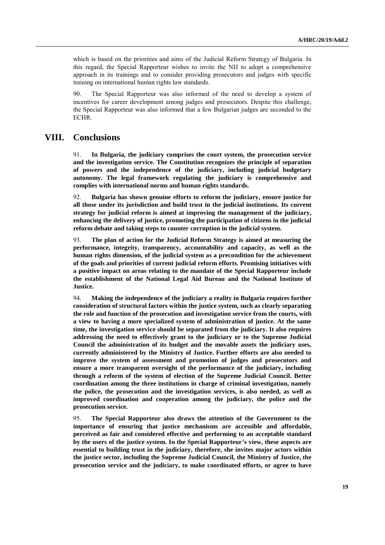which is based on the priorities and aims of the Judicial Reform Strategy of Bulgaria. In this regard, the Special Rapporteur wishes to invite the NIJ to adopt a comprehensive approach in its trainings and to consider providing prosecutors and judges with specific training on international human rights law standards.

90. The Special Rapporteur was also informed of the need to develop a system of incentives for career development among judges and prosecutors. Despite this challenge, the Special Rapporteur was also informed that a few Bulgarian judges are seconded to the ECHR.

### **VIII. Conclusions**

91. **In Bulgaria, the judiciary comprises the court system, the prosecution service and the investigation service. The Constitution recognizes the principle of separation of powers and the independence of the judiciary, including judicial budgetary autonomy. The legal framework regulating the judiciary is comprehensive and complies with international norms and human rights standards.**

92. **Bulgaria has shown genuine efforts to reform the judiciary, ensure justice for all those under its jurisdiction and build trust in the judicial institutions. Its current strategy for judicial reform is aimed at improving the management of the judiciary, enhancing the delivery of justice, promoting the participation of citizens in the judicial reform debate and taking steps to counter corruption in the judicial system.** 

93. **The plan of action for the Judicial Reform Strategy is aimed at measuring the performance, integrity, transparency, accountability and capacity, as well as the human rights dimension, of the judicial system as a precondition for the achievement of the goals and priorities of current judicial reform efforts. Promising initiatives with a positive impact on areas relating to the mandate of the Special Rapporteur include the establishment of the National Legal Aid Bureau and the National Institute of Justice.**

94. **Making the independence of the judiciary a reality in Bulgaria requires further consideration of structural factors within the justice system, such as clearly separating the role and function of the prosecution and investigation service from the courts, with a view to having a more specialized system of administration of justice. At the same time, the investigation service should be separated from the judiciary. It also requires addressing the need to effectively grant to the judiciary or to the Supreme Judicial Council the administration of its budget and the movable assets the judiciary uses, currently administered by the Ministry of Justice. Further efforts are also needed to improve the system of assessment and promotion of judges and prosecutors and ensure a more transparent oversight of the performance of the judiciary, including through a reform of the system of election of the Supreme Judicial Council. Better coordination among the three institutions in charge of criminal investigation, namely the police, the prosecution and the investigation services, is also needed, as well as improved coordination and cooperation among the judiciary, the police and the prosecution service.**

95. **The Special Rapporteur also draws the attention of the Government to the importance of ensuring that justice mechanisms are accessible and affordable, perceived as fair and considered effective and performing to an acceptable standard by the users of the justice system. In the Special Rapporteur's view, these aspects are essential to building trust in the judiciary, therefore, she invites major actors within the justice sector, including the Supreme Judicial Council, the Ministry of Justice, the prosecution service and the judiciary, to make coordinated efforts, or agree to have**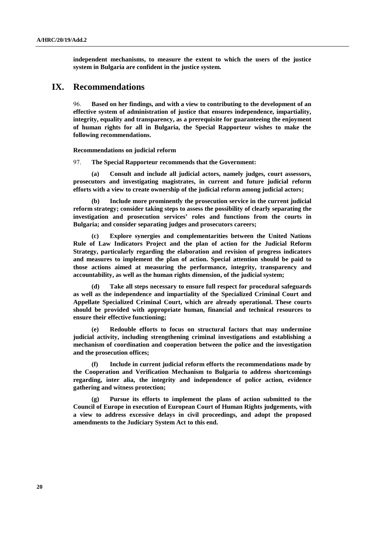**independent mechanisms, to measure the extent to which the users of the justice system in Bulgaria are confident in the justice system.**

### **IX. Recommendations**

96. **Based on her findings, and with a view to contributing to the development of an effective system of administration of justice that ensures independence, impartiality, integrity, equality and transparency, as a prerequisite for guaranteeing the enjoyment of human rights for all in Bulgaria, the Special Rapporteur wishes to make the following recommendations.**

**Recommendations on judicial reform**

97. **The Special Rapporteur recommends that the Government:**

**(a) Consult and include all judicial actors, namely judges, court assessors, prosecutors and investigating magistrates, in current and future judicial reform efforts with a view to create ownership of the judicial reform among judicial actors;**

**(b) Include more prominently the prosecution service in the current judicial reform strategy; consider taking steps to assess the possibility of clearly separating the investigation and prosecution services' roles and functions from the courts in Bulgaria; and consider separating judges and prosecutors careers;**

**(c) Explore synergies and complementarities between the United Nations Rule of Law Indicators Project and the plan of action for the Judicial Reform Strategy, particularly regarding the elaboration and revision of progress indicators and measures to implement the plan of action. Special attention should be paid to those actions aimed at measuring the performance, integrity, transparency and accountability, as well as the human rights dimension, of the judicial system;**

**(d) Take all steps necessary to ensure full respect for procedural safeguards as well as the independence and impartiality of the Specialized Criminal Court and Appellate Specialized Criminal Court, which are already operational. These courts should be provided with appropriate human, financial and technical resources to ensure their effective functioning;**

**(e) Redouble efforts to focus on structural factors that may undermine judicial activity, including strengthening criminal investigations and establishing a mechanism of coordination and cooperation between the police and the investigation and the prosecution offices;**

**(f) Include in current judicial reform efforts the recommendations made by the Cooperation and Verification Mechanism to Bulgaria to address shortcomings regarding, inter alia, the integrity and independence of police action, evidence gathering and witness protection;** 

**(g) Pursue its efforts to implement the plans of action submitted to the Council of Europe in execution of European Court of Human Rights judgements, with a view to address excessive delays in civil proceedings, and adopt the proposed amendments to the Judiciary System Act to this end.**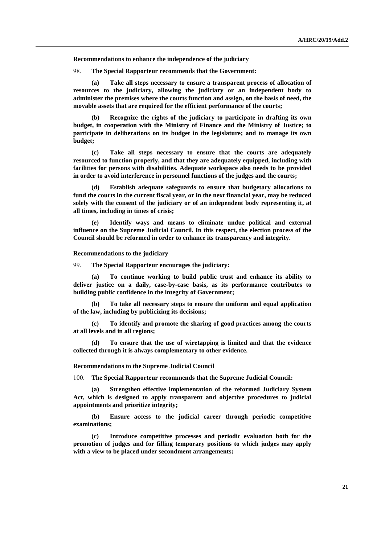**Recommendations to enhance the independence of the judiciary**

98. **The Special Rapporteur recommends that the Government:**

**(a) Take all steps necessary to ensure a transparent process of allocation of resources to the judiciary, allowing the judiciary or an independent body to administer the premises where the courts function and assign, on the basis of need, the movable assets that are required for the efficient performance of the courts;**

**(b) Recognize the rights of the judiciary to participate in drafting its own budget, in cooperation with the Ministry of Finance and the Ministry of Justice; to participate in deliberations on its budget in the legislature; and to manage its own budget;**

**(c) Take all steps necessary to ensure that the courts are adequately resourced to function properly, and that they are adequately equipped, including with facilities for persons with disabilities. Adequate workspace also needs to be provided in order to avoid interference in personnel functions of the judges and the courts;**

**(d) Establish adequate safeguards to ensure that budgetary allocations to fund the courts in the current fiscal year, or in the next financial year, may be reduced solely with the consent of the judiciary or of an independent body representing it, at all times, including in times of crisis;**

**(e) Identify ways and means to eliminate undue political and external influence on the Supreme Judicial Council. In this respect, the election process of the Council should be reformed in order to enhance its transparency and integrity.** 

**Recommendations to the judiciary**

99. **The Special Rapporteur encourages the judiciary:** 

**(a) To continue working to build public trust and enhance its ability to deliver justice on a daily, case-by-case basis, as its performance contributes to building public confidence in the integrity of Government;**

**(b) To take all necessary steps to ensure the uniform and equal application of the law, including by publicizing its decisions;**

**(c) To identify and promote the sharing of good practices among the courts at all levels and in all regions;**

**(d) To ensure that the use of wiretapping is limited and that the evidence collected through it is always complementary to other evidence.**

**Recommendations to the Supreme Judicial Council**

100. **The Special Rapporteur recommends that the Supreme Judicial Council:**

**(a) Strengthen effective implementation of the reformed Judiciary System Act, which is designed to apply transparent and objective procedures to judicial appointments and prioritize integrity;**

**(b) Ensure access to the judicial career through periodic competitive examinations;**

**(c) Introduce competitive processes and periodic evaluation both for the promotion of judges and for filling temporary positions to which judges may apply with a view to be placed under secondment arrangements;**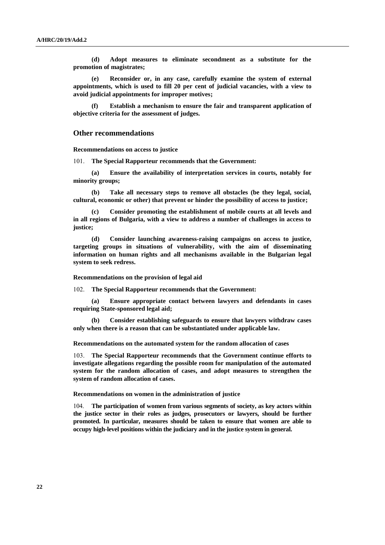**(d) Adopt measures to eliminate secondment as a substitute for the promotion of magistrates;**

**(e) Reconsider or, in any case, carefully examine the system of external appointments, which is used to fill 20 per cent of judicial vacancies, with a view to avoid judicial appointments for improper motives;**

**(f) Establish a mechanism to ensure the fair and transparent application of objective criteria for the assessment of judges.**

#### **Other recommendations**

**Recommendations on access to justice**

101. **The Special Rapporteur recommends that the Government:**

**(a) Ensure the availability of interpretation services in courts, notably for minority groups;**

**(b) Take all necessary steps to remove all obstacles (be they legal, social, cultural, economic or other) that prevent or hinder the possibility of access to justice;**

**(c) Consider promoting the establishment of mobile courts at all levels and in all regions of Bulgaria, with a view to address a number of challenges in access to justice;**

**(d) Consider launching awareness-raising campaigns on access to justice, targeting groups in situations of vulnerability, with the aim of disseminating information on human rights and all mechanisms available in the Bulgarian legal system to seek redress.**

**Recommendations on the provision of legal aid**

102. **The Special Rapporteur recommends that the Government:**

**(a) Ensure appropriate contact between lawyers and defendants in cases requiring State-sponsored legal aid;**

**(b) Consider establishing safeguards to ensure that lawyers withdraw cases only when there is a reason that can be substantiated under applicable law.**

**Recommendations on the automated system for the random allocation of cases**

103. **The Special Rapporteur recommends that the Government continue efforts to investigate allegations regarding the possible room for manipulation of the automated system for the random allocation of cases, and adopt measures to strengthen the system of random allocation of cases.** 

**Recommendations on women in the administration of justice**

104. **The participation of women from various segments of society, as key actors within the justice sector in their roles as judges, prosecutors or lawyers, should be further promoted. In particular, measures should be taken to ensure that women are able to occupy high-level positions within the judiciary and in the justice system in general.**